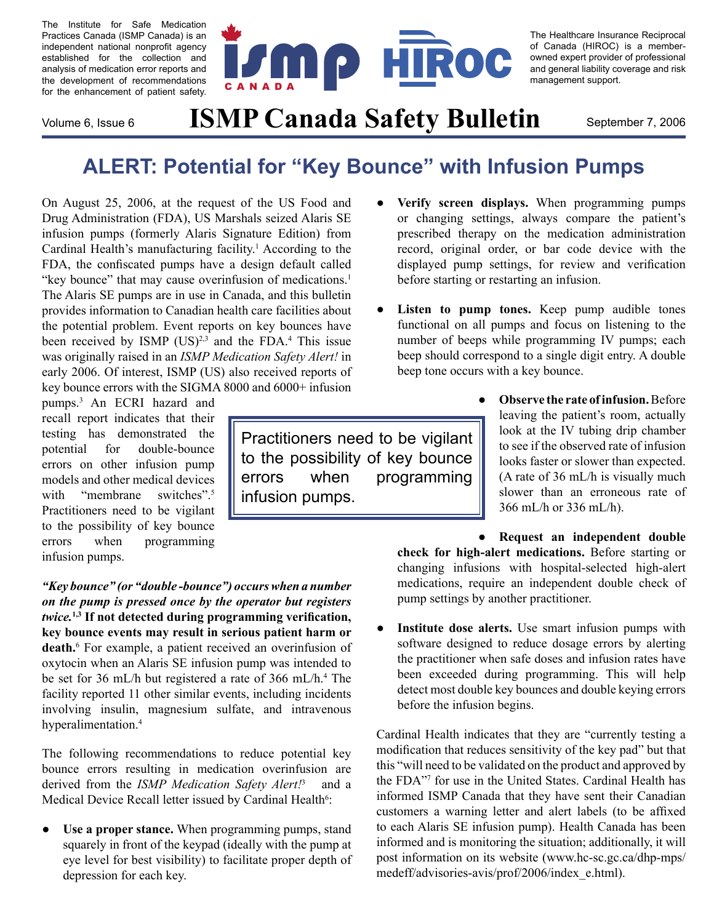The Institute for Safe Medication Practices Canada (ISMP Canada) is an independent national nonprofit agency established for the collection and analysis of medication error reports and the development of recommendations for the enhancement of patient safety.



The Healthcare Insurance Reciprocal of Canada (HIROC) is a memberowned expert provider of professional and general liability coverage and risk management support.

## Volume 6, Issue 6 **ISMP Canada Safety Bulletin** September 7, 2006

## **ALERT: Potential for "Key Bounce" with Infusion Pumps**

On August 25, 2006, at the request of the US Food and Drug Administration (FDA), US Marshals seized Alaris SE infusion pumps (formerly Alaris Signature Edition) from Cardinal Health's manufacturing facility.<sup>1</sup> According to the FDA, the confiscated pumps have a design default called "key bounce" that may cause overinfusion of medications.<sup>1</sup> The Alaris SE pumps are in use in Canada, and this bulletin provides information to Canadian health care facilities about the potential problem. Event reports on key bounces have been received by ISMP  $(US)^{2,3}$  and the FDA.<sup>4</sup> This issue was originally raised in an *ISMP Medication Safety Alert!* in early 2006. Of interest, ISMP (US) also received reports of key bounce errors with the SIGMA 8000 and 6000+ infusion

pumps.3 An ECRI hazard and recall report indicates that their testing has demonstrated the potential for double-bounce errors on other infusion pump models and other medical devices with "membrane switches".<sup>5</sup> Practitioners need to be vigilant to the possibility of key bounce errors when programming infusion pumps.

*"Key bounce" (or "double -bounce") occurs when a number on the pump is pressed once by the operator but registers twice.***1,3 If not detected during programming verification, key bounce events may result in serious patient harm or death.**<sup>6</sup> For example, a patient received an overinfusion of oxytocin when an Alaris SE infusion pump was intended to be set for 36 mL/h but registered a rate of 366 mL/h.<sup>4</sup> The facility reported 11 other similar events, including incidents involving insulin, magnesium sulfate, and intravenous hyperalimentation.<sup>4</sup>

The following recommendations to reduce potential key bounce errors resulting in medication overinfusion are derived from the *ISMP Medication Safety Alert!*<sup>3</sup> and a Medical Device Recall letter issued by Cardinal Health<sup>6</sup>:

**Use a proper stance.** When programming pumps, stand squarely in front of the keypad (ideally with the pump at eye level for best visibility) to facilitate proper depth of depression for each key.  $\bullet$ 

Practitioners need to be vigilant to the possibility of key bounce errors when programming infusion pumps.

- **Verify screen displays.** When programming pumps or changing settings, always compare the patient's prescribed therapy on the medication administration record, original order, or bar code device with the displayed pump settings, for review and verification before starting or restarting an infusion. ●
- Listen to pump tones. Keep pump audible tones functional on all pumps and focus on listening to the number of beeps while programming IV pumps; each beep should correspond to a single digit entry. A double beep tone occurs with a key bounce. ●

●

**Observe the rate of infusion.** Before leaving the patient's room, actually look at the IV tubing drip chamber to see if the observed rate of infusion looks faster or slower than expected. (A rate of 36 mL/h is visually much slower than an erroneous rate of 366 mL/h or 336 mL/h).

**Request an independent double check for high-alert medications.** Before starting or changing infusions with hospital-selected high-alert medications, require an independent double check of pump settings by another practitioner. ●

**Institute dose alerts.** Use smart infusion pumps with software designed to reduce dosage errors by alerting the practitioner when safe doses and infusion rates have been exceeded during programming. This will help detect most double key bounces and double keying errors before the infusion begins. ●

Cardinal Health indicates that they are "currently testing a modification that reduces sensitivity of the key pad" but that this "will need to be validated on the product and approved by the FDA"7 for use in the United States. Cardinal Health has informed ISMP Canada that they have sent their Canadian customers a warning letter and alert labels (to be affixed to each Alaris SE infusion pump). Health Canada has been informed and is monitoring the situation; additionally, it will post information on its website ([www.hc-sc.gc.ca/dhp-mps/](http://www.hc-sc.gc.ca/dhp-mps/medeff/advisories-avis/prof/2006/index_e.html) [medeff/advisories-avis/prof/2006/index\\_e.html](http://www.hc-sc.gc.ca/dhp-mps/medeff/advisories-avis/prof/2006/index_e.html)).